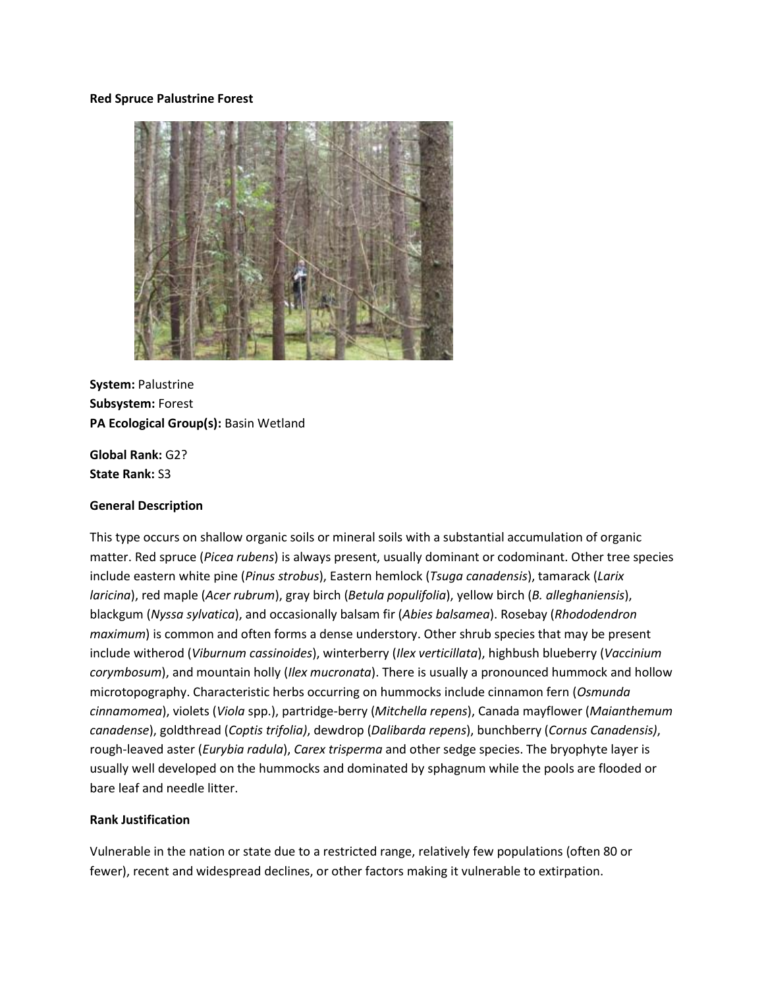#### **Red Spruce Palustrine Forest**



**System:** Palustrine **Subsystem:** Forest **PA Ecological Group(s):** Basin Wetland

**Global Rank:** G2? **State Rank:** S3

#### **General Description**

This type occurs on shallow organic soils or mineral soils with a substantial accumulation of organic matter. Red spruce (*Picea rubens*) is always present, usually dominant or codominant. Other tree species include eastern white pine (*Pinus strobus*), Eastern hemlock (*Tsuga canadensis*), tamarack (*Larix laricina*), red maple (*Acer rubrum*), gray birch (*Betula populifolia*), yellow birch (*B. alleghaniensis*), blackgum (*Nyssa sylvatica*), and occasionally balsam fir (*Abies balsamea*). Rosebay (*Rhododendron maximum*) is common and often forms a dense understory. Other shrub species that may be present include witherod (*Viburnum cassinoides*), winterberry (*Ilex verticillata*), highbush blueberry (*Vaccinium corymbosum*), and mountain holly (*Ilex mucronata*). There is usually a pronounced hummock and hollow microtopography. Characteristic herbs occurring on hummocks include cinnamon fern (*Osmunda cinnamomea*), violets (*Viola* spp.), partridge-berry (*Mitchella repens*), Canada mayflower (*Maianthemum canadense*), goldthread (*Coptis trifolia)*, dewdrop (*Dalibarda repens*), bunchberry (*Cornus Canadensis)*, rough-leaved aster (*Eurybia radula*), *Carex trisperma* and other sedge species. The bryophyte layer is usually well developed on the hummocks and dominated by sphagnum while the pools are flooded or bare leaf and needle litter.

#### **Rank Justification**

Vulnerable in the nation or state due to a restricted range, relatively few populations (often 80 or fewer), recent and widespread declines, or other factors making it vulnerable to extirpation.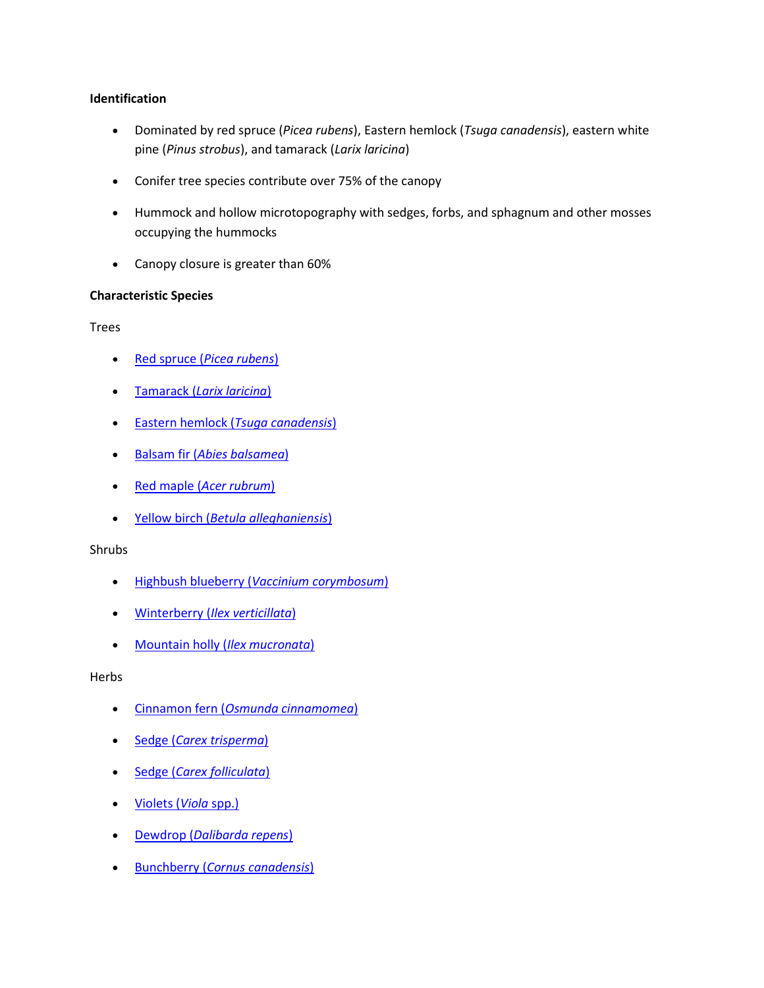# **Identification**

- Dominated by red spruce (*Picea rubens*), Eastern hemlock (*Tsuga canadensis*), eastern white pine (*Pinus strobus*), and tamarack (*Larix laricina*)
- Conifer tree species contribute over 75% of the canopy
- Hummock and hollow microtopography with sedges, forbs, and sphagnum and other mosses occupying the hummocks
- Canopy closure is greater than 60%

# **Characteristic Species**

Trees

- Red spruce (*[Picea rubens](http://www.natureserve.org/explorer/servlet/NatureServe?searchName=Picea+rubens)*)
- Tamarack (*[Larix laricina](http://www.natureserve.org/explorer/servlet/NatureServe?searchName=Larix+laricina)*)
- Eastern hemlock (*[Tsuga canadensis](http://www.natureserve.org/explorer/servlet/NatureServe?searchName=Tsuga+canadensis)*)
- Balsam fir (*[Abies balsamea](http://www.natureserve.org/explorer/servlet/NatureServe?searchName=Abies+balsamea)*)
- Red maple (*[Acer rubrum](http://www.natureserve.org/explorer/servlet/NatureServe?searchName=Acer+rubrum)*)
- Yellow birch (*[Betula alleghaniensis](http://www.natureserve.org/explorer/servlet/NatureServe?searchName=Betula+alleghaniensis)*)

# Shrubs

- Highbush blueberry (*[Vaccinium corymbosum](http://www.natureserve.org/explorer/servlet/NatureServe?searchName=Vaccinium+corymbosum)*)
- Winterberry (*[Ilex verticillata](http://www.natureserve.org/explorer/servlet/NatureServe?searchName=Ilex+verticillata)*)
- [Mountain holly \(](http://www.natureserve.org/explorer/servlet/NatureServe?searchName=Nemopanthus+mucronatus)*Ilex mucronata*)

# Herbs

- Cinnamon fern (*[Osmunda cinnamomea](http://www.natureserve.org/explorer/servlet/NatureServe?searchName=Osmunda+cinnamomea)*)
- Sedge (*[Carex trisperma](http://www.natureserve.org/explorer/servlet/NatureServe?searchName=Carex+trisperma)*)
- Sedge (*[Carex folliculata](http://www.natureserve.org/explorer/servlet/NatureServe?searchName=Carex+folliculata)*)
- [Violets \(](http://www.natureserve.org/explorer/servlet/NatureServe?searchSciOrCommonName=viola)*Viola* spp.)
- Dewdrop (*[Dalibarda repens](http://www.natureserve.org/explorer/servlet/NatureServe?searchName=Dalibarda+repens)*)
- Bunchberry (*[Cornus canadensis](http://www.natureserve.org/explorer/servlet/NatureServe?searchName=Cornus+canadensis)*)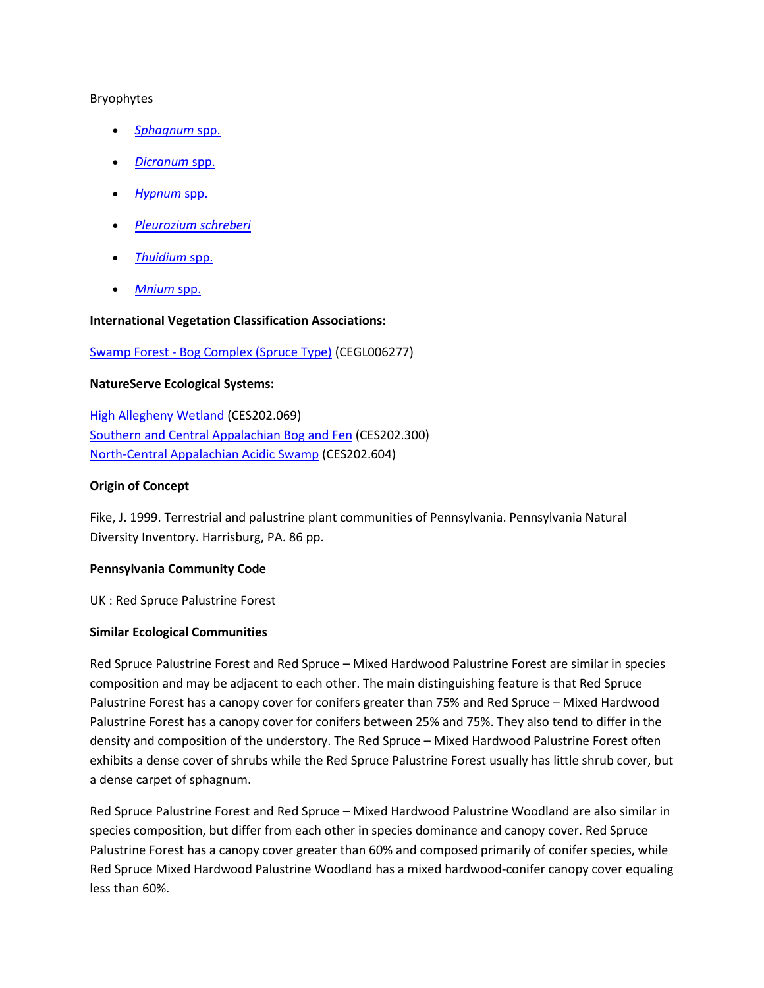## Bryophytes

- *[Sphagnum](http://www.natureserve.org/explorer/servlet/NatureServe?searchSciOrCommonName=Sphagnum)* spp.
- *[Dicranum](http://www.natureserve.org/explorer/servlet/NatureServe?searchSciOrCommonName=Dicranum)* spp.
- *[Hypnum](http://www.natureserve.org/explorer/servlet/NatureServe?searchSciOrCommonName=Hypnum)* spp.
- *[Pleurozium schreberi](http://www.natureserve.org/explorer/servlet/NatureServe?searchName=Pleurozium+schreberi)*
- *[Thuidium](http://www.natureserve.org/explorer/servlet/NatureServe?searchSciOrCommonName=Thuidium)* spp.
- *[Mnium](http://www.natureserve.org/explorer/servlet/NatureServe?searchSciOrCommonName=Mnium)* spp.

# **International Vegetation Classification Associations:**

# Swamp Forest - [Bog Complex \(Spruce Type\)](http://www.natureserve.org/explorer/servlet/NatureServe?searchCommunityUid=ELEMENT_GLOBAL.2.685562) (CEGL006277)

## **NatureServe Ecological Systems:**

[High Allegheny Wetland \(](http://www.natureserve.org/explorer/servlet/NatureServe?searchSystemUid=ELEMENT_GLOBAL.2.800809)CES202.069) [Southern and Central Appalachian Bog and Fen](http://www.natureserve.org/explorer/servlet/NatureServe?searchSystemUid=ELEMENT_GLOBAL.2.723191) (CES202.300) [North-Central Appalachian Acidic Swamp](http://www.natureserve.org/explorer/servlet/NatureServe?searchSystemUid=ELEMENT_GLOBAL.2.723005) (CES202.604)

## **Origin of Concept**

Fike, J. 1999. Terrestrial and palustrine plant communities of Pennsylvania. Pennsylvania Natural Diversity Inventory. Harrisburg, PA. 86 pp.

# **Pennsylvania Community Code**

UK : Red Spruce Palustrine Forest

#### **Similar Ecological Communities**

Red Spruce Palustrine Forest and Red Spruce – Mixed Hardwood Palustrine Forest are similar in species composition and may be adjacent to each other. The main distinguishing feature is that Red Spruce Palustrine Forest has a canopy cover for conifers greater than 75% and Red Spruce – Mixed Hardwood Palustrine Forest has a canopy cover for conifers between 25% and 75%. They also tend to differ in the density and composition of the understory. The Red Spruce – Mixed Hardwood Palustrine Forest often exhibits a dense cover of shrubs while the Red Spruce Palustrine Forest usually has little shrub cover, but a dense carpet of sphagnum.

Red Spruce Palustrine Forest and Red Spruce – Mixed Hardwood Palustrine Woodland are also similar in species composition, but differ from each other in species dominance and canopy cover. Red Spruce Palustrine Forest has a canopy cover greater than 60% and composed primarily of conifer species, while Red Spruce Mixed Hardwood Palustrine Woodland has a mixed hardwood-conifer canopy cover equaling less than 60%.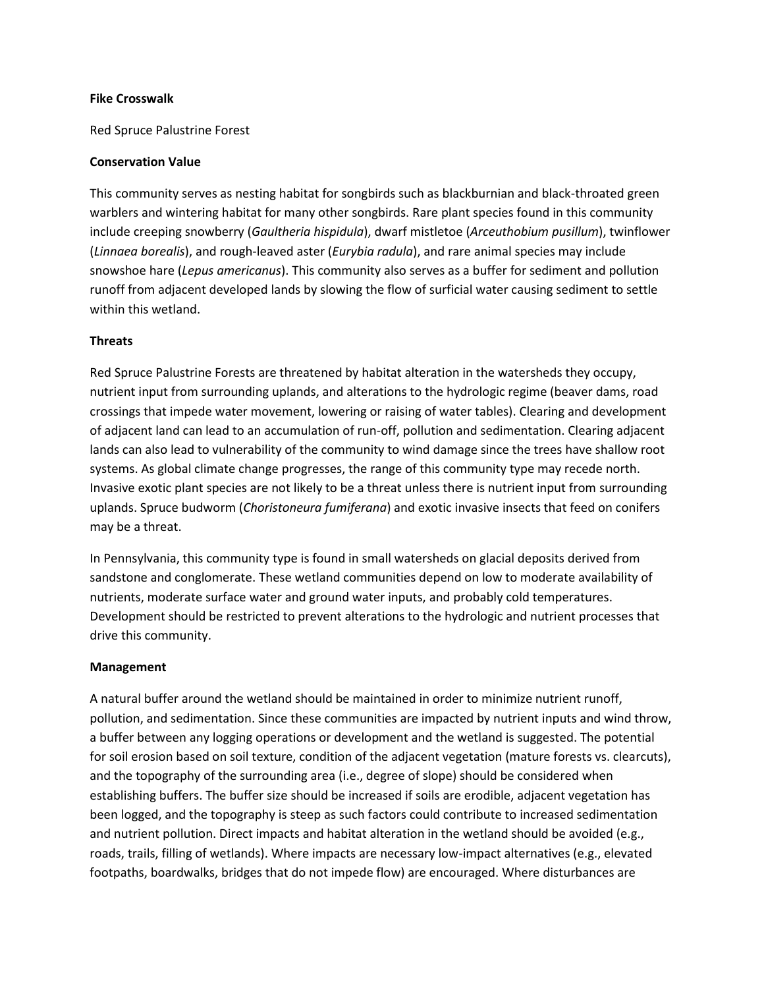## **Fike Crosswalk**

Red Spruce Palustrine Forest

## **Conservation Value**

This community serves as nesting habitat for songbirds such as blackburnian and black-throated green warblers and wintering habitat for many other songbirds. Rare plant species found in this community include creeping snowberry (*Gaultheria hispidula*), dwarf mistletoe (*Arceuthobium pusillum*), twinflower (*Linnaea borealis*), and rough-leaved aster (*Eurybia radula*), and rare animal species may include snowshoe hare (*Lepus americanus*). This community also serves as a buffer for sediment and pollution runoff from adjacent developed lands by slowing the flow of surficial water causing sediment to settle within this wetland.

## **Threats**

Red Spruce Palustrine Forests are threatened by habitat alteration in the watersheds they occupy, nutrient input from surrounding uplands, and alterations to the hydrologic regime (beaver dams, road crossings that impede water movement, lowering or raising of water tables). Clearing and development of adjacent land can lead to an accumulation of run-off, pollution and sedimentation. Clearing adjacent lands can also lead to vulnerability of the community to wind damage since the trees have shallow root systems. As global climate change progresses, the range of this community type may recede north. Invasive exotic plant species are not likely to be a threat unless there is nutrient input from surrounding uplands. Spruce budworm (*Choristoneura fumiferana*) and exotic invasive insects that feed on conifers may be a threat.

In Pennsylvania, this community type is found in small watersheds on glacial deposits derived from sandstone and conglomerate. These wetland communities depend on low to moderate availability of nutrients, moderate surface water and ground water inputs, and probably cold temperatures. Development should be restricted to prevent alterations to the hydrologic and nutrient processes that drive this community.

#### **Management**

A natural buffer around the wetland should be maintained in order to minimize nutrient runoff, pollution, and sedimentation. Since these communities are impacted by nutrient inputs and wind throw, a buffer between any logging operations or development and the wetland is suggested. The potential for soil erosion based on soil texture, condition of the adjacent vegetation (mature forests vs. clearcuts), and the topography of the surrounding area (i.e., degree of slope) should be considered when establishing buffers. The buffer size should be increased if soils are erodible, adjacent vegetation has been logged, and the topography is steep as such factors could contribute to increased sedimentation and nutrient pollution. Direct impacts and habitat alteration in the wetland should be avoided (e.g., roads, trails, filling of wetlands). Where impacts are necessary low-impact alternatives (e.g., elevated footpaths, boardwalks, bridges that do not impede flow) are encouraged. Where disturbances are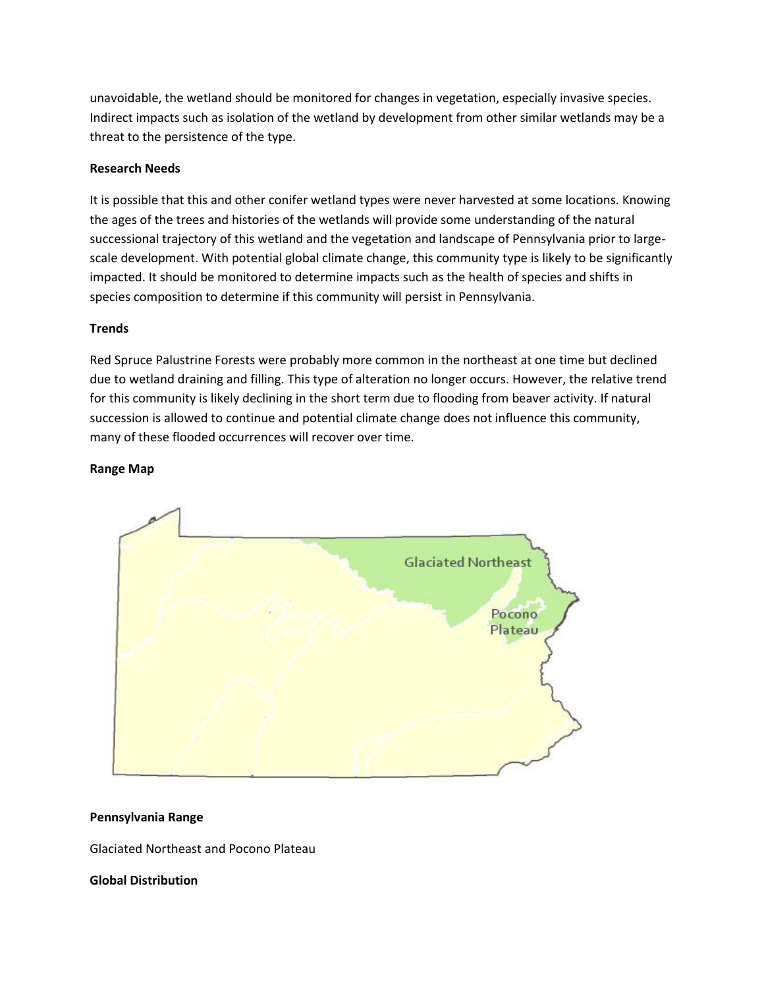unavoidable, the wetland should be monitored for changes in vegetation, especially invasive species. Indirect impacts such as isolation of the wetland by development from other similar wetlands may be a threat to the persistence of the type.

# **Research Needs**

It is possible that this and other conifer wetland types were never harvested at some locations. Knowing the ages of the trees and histories of the wetlands will provide some understanding of the natural successional trajectory of this wetland and the vegetation and landscape of Pennsylvania prior to largescale development. With potential global climate change, this community type is likely to be significantly impacted. It should be monitored to determine impacts such as the health of species and shifts in species composition to determine if this community will persist in Pennsylvania.

## **Trends**

Red Spruce Palustrine Forests were probably more common in the northeast at one time but declined due to wetland draining and filling. This type of alteration no longer occurs. However, the relative trend for this community is likely declining in the short term due to flooding from beaver activity. If natural succession is allowed to continue and potential climate change does not influence this community, many of these flooded occurrences will recover over time.

## **Range Map**



#### **Pennsylvania Range**

Glaciated Northeast and Pocono Plateau

#### **Global Distribution**